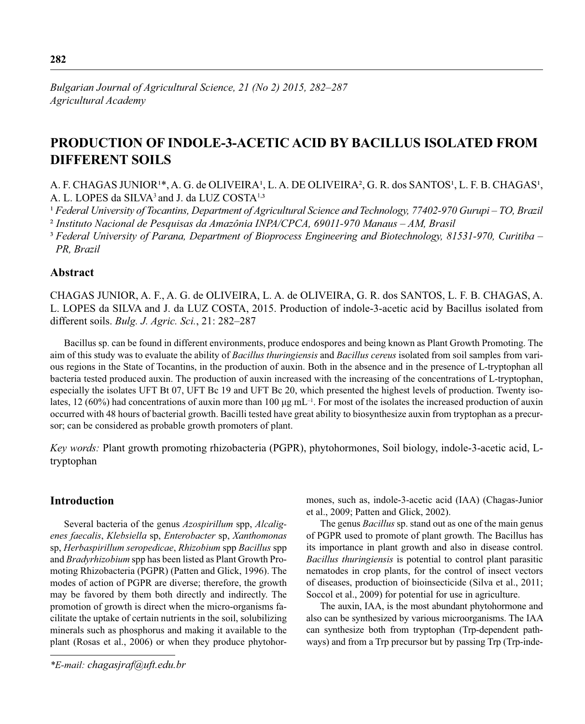*Bulgarian Journal of Agricultural Science, 21 (No 2) 2015, 282–287 Agricultural Academy*

# **PRODUCTION OF INDOLE-3-ACETIC ACID BY BACILLUS ISOLATED FROM DIFFERENT SOILS**

A. F. CHAGAS JUNIOR<sup>1\*</sup>, A. G. de OLIVEIRA<sup>1</sup>, L. A. DE OLIVEIRA<sup>2</sup>, G. R. dos SANTOS<sup>1</sup>, L. F. B. CHAGAS<sup>1</sup>, A. L. LOPES da SILVA<sup>3</sup> and J. da LUZ COSTA<sup>1,3</sup>

<sup>1</sup> Federal University of Tocantins, Department of Agricultural Science and Technology, 77402-970 Gurupi – TO, Brazil ² *Instituto Nacional de Pesquisas da Amazônia INPA/CPCA, 69011-970 Manaus – AM, Brasil*

³ *Federal University of Parana, Department of Bioprocess Engineering and Biotechnology, 81531-970, Curitiba – PR, Brazil*

## **Abstract**

CHAGAS JUNIOR, A. F., A. G. de OLIVEIRA, L. A. de OLIVEIRA, G. R. dos SANTOS, L. F. B. CHAGAS, A. L. LOPES da SILVA and J. da LUZ COSTA, 2015. Production of indole-3-acetic acid by Bacillus isolated from different soils. *Bulg. J. Agric. Sci.*, 21: 282–287

Bacillus sp. can be found in different environments, produce endospores and being known as Plant Growth Promoting. The aim of this study was to evaluate the ability of *Bacillus thuringiensis* and *Bacillus cereus* isolated from soil samples from various regions in the State of Tocantins, in the production of auxin. Both in the absence and in the presence of L-tryptophan all bacteria tested produced auxin. The production of auxin increased with the increasing of the concentrations of L-tryptophan, especially the isolates UFT Bt 07, UFT Bc 19 and UFT Bc 20, which presented the highest levels of production. Twenty isolates, 12 (60%) had concentrations of auxin more than 100  $\mu$ g mL<sup>-1</sup>. For most of the isolates the increased production of auxin occurred with 48 hours of bacterial growth. Bacilli tested have great ability to biosynthesize auxin from tryptophan as a precursor; can be considered as probable growth promoters of plant.

*Key words:* Plant growth promoting rhizobacteria (PGPR), phytohormones, Soil biology, indole-3-acetic acid, Ltryptophan

# **Introduction**

Several bacteria of the genus *Azospirillum* spp, *Alcaligenes faecalis*, *Klebsiella* sp, *Enterobacter* sp, *Xanthomonas* sp, *Herbaspirillum seropedicae*, *Rhizobium* spp *Bacillus* spp and *Bradyrhizobium* spp has been listed as Plant Growth Promoting Rhizobacteria (PGPR) (Patten and Glick, 1996). The modes of action of PGPR are diverse; therefore, the growth may be favored by them both directly and indirectly. The promotion of growth is direct when the micro-organisms facilitate the uptake of certain nutrients in the soil, solubilizing minerals such as phosphorus and making it available to the plant (Rosas et al., 2006) or when they produce phytohor-

*\*E-mail: chagasjraf@uft.edu.br*

mones, such as, indole-3-acetic acid (IAA) (Chagas-Junior et al., 2009; Patten and Glick, 2002).

The genus *Bacillus* sp. stand out as one of the main genus of PGPR used to promote of plant growth. The Bacillus has its importance in plant growth and also in disease control. *Bacillus thuringiensis* is potential to control plant parasitic nematodes in crop plants, for the control of insect vectors of diseases, production of bioinsecticide (Silva et al., 2011; Soccol et al., 2009) for potential for use in agriculture.

The auxin, IAA, is the most abundant phytohormone and also can be synthesized by various microorganisms. The IAA can synthesize both from tryptophan (Trp-dependent pathways) and from a Trp precursor but by passing Trp (Trp-inde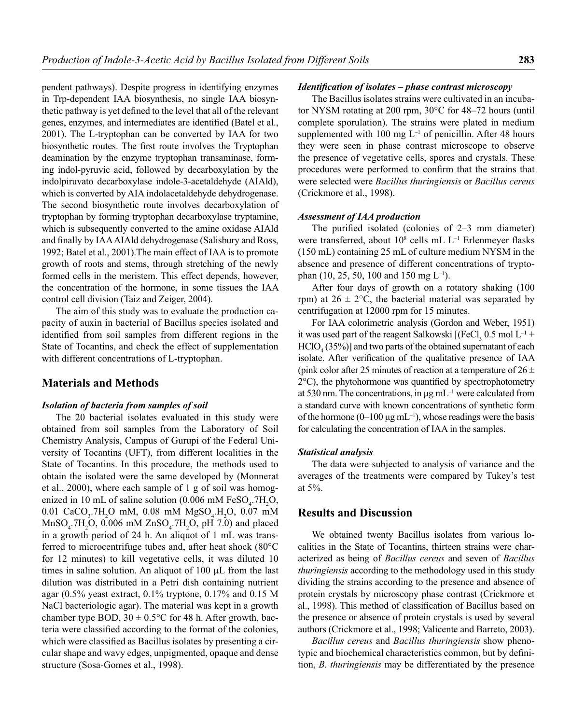pendent pathways). Despite progress in identifying enzymes in Trp-dependent IAA biosynthesis, no single IAA biosynthetic pathway is yet defined to the level that all of the relevant genes, enzymes, and intermediates are identified (Batel et al., 2001). The L-tryptophan can be converted by IAA for two biosynthetic routes. The first route involves the Tryptophan deamination by the enzyme tryptophan transaminase, forming indol-pyruvic acid, followed by decarboxylation by the indolpiruvato decarboxylase indole-3-acetaldehyde (AIAld), which is converted by AIA indolacetaldehyde dehydrogenase. The second biosynthetic route involves decarboxylation of tryptophan by forming tryptophan decarboxylase tryptamine, which is subsequently converted to the amine oxidase AIAld and finally by IAA AIAld dehydrogenase (Salisbury and Ross, 1992; Batel et al., 2001).The main effect of IAA is to promote growth of roots and stems, through stretching of the newly formed cells in the meristem. This effect depends, however, the concentration of the hormone, in some tissues the IAA control cell division (Taiz and Zeiger, 2004).

The aim of this study was to evaluate the production capacity of auxin in bacterial of Bacillus species isolated and identified from soil samples from different regions in the State of Tocantins, and check the effect of supplementation with different concentrations of L-tryptophan.

## **Materials and Methods**

#### *Isolation of bacteria from samples of soil*

The 20 bacterial isolates evaluated in this study were obtained from soil samples from the Laboratory of Soil Chemistry Analysis, Campus of Gurupi of the Federal University of Tocantins (UFT), from different localities in the State of Tocantins. In this procedure, the methods used to obtain the isolated were the same developed by (Monnerat et al., 2000), where each sample of 1 g of soil was homogenized in 10 mL of saline solution (0.006 mM  $FeSO_4$ .7H<sub>2</sub>O,  $0.01 \text{ CaCO}_3$ .7H<sub>2</sub>O mM,  $0.08 \text{ mM MgSO}_4$ .H<sub>2</sub>O,  $0.07 \text{ mM}$  $MnSO_4$ .7H<sub>2</sub>O, 0.006 mM  $ZnSO_4$ .7H<sub>2</sub>O, pH 7.0) and placed in a growth period of 24 h. An aliquot of 1 mL was transferred to microcentrifuge tubes and, after heat shock (80°C for 12 minutes) to kill vegetative cells, it was diluted 10 times in saline solution. An aliquot of 100 μL from the last dilution was distributed in a Petri dish containing nutrient agar (0.5% yeast extract, 0.1% tryptone, 0.17% and 0.15 M NaCl bacteriologic agar). The material was kept in a growth chamber type BOD,  $30 \pm 0.5^{\circ}$ C for 48 h. After growth, bacteria were classified according to the format of the colonies, which were classified as Bacillus isolates by presenting a circular shape and wavy edges, unpigmented, opaque and dense structure (Sosa-Gomes et al., 1998).

#### *Identification of isolates – phase contrast microscopy*

The Bacillus isolates strains were cultivated in an incubator NYSM rotating at 200 rpm, 30°C for 48–72 hours (until complete sporulation). The strains were plated in medium supplemented with 100 mg  $L^{-1}$  of penicillin. After 48 hours they were seen in phase contrast microscope to observe the presence of vegetative cells, spores and crystals. These procedures were performed to confirm that the strains that were selected were *Bacillus thuringiensis* or *Bacillus cereus* (Crickmore et al., 1998).

#### *Assessment of IAA production*

The purified isolated (colonies of  $2-3$  mm diameter) were transferred, about  $10^8$  cells mL  $L^{-1}$  Erlenmeyer flasks (150 mL) containing 25 mL of culture medium NYSM in the absence and presence of different concentrations of tryptophan (10, 25, 50, 100 and 150 mg  $L^{-1}$ ).

After four days of growth on a rotatory shaking (100 rpm) at  $26 \pm 2^{\circ}\text{C}$ , the bacterial material was separated by centrifugation at 12000 rpm for 15 minutes.

For IAA colorimetric analysis (Gordon and Weber, 1951) it was used part of the reagent Salkowski [(FeCl<sub>3</sub> 0.5 mol  $L^{-1}$  +  $HClO<sub>4</sub>(35%)$ ] and two parts of the obtained supernatant of each isolate. After verification of the qualitative presence of IAA (pink color after 25 minutes of reaction at a temperature of  $26 \pm$  $2^{\circ}$ C), the phytohormone was quantified by spectrophotometry at 530 nm. The concentrations, in  $\mu$ g mL<sup>-1</sup> were calculated from a standard curve with known concentrations of synthetic form of the hormone  $(0-100 \mu g \text{ mL}^{-1})$ , whose readings were the basis for calculating the concentration of IAA in the samples.

#### *Statistical analysis*

The data were subjected to analysis of variance and the averages of the treatments were compared by Tukey's test at 5%.

# **Results and Discussion**

We obtained twenty Bacillus isolates from various localities in the State of Tocantins, thirteen strains were characterized as being of *Bacillus cereus* and seven of *Bacillus thuringiensis* according to the methodology used in this study dividing the strains according to the presence and absence of protein crystals by microscopy phase contrast (Crickmore et al., 1998). This method of classification of Bacillus based on the presence or absence of protein crystals is used by several authors (Crickmore et al., 1998; Valicente and Barreto, 2003).

*Bacillus cereus* and *Bacillus thuringiensis* show phenotypic and biochemical characteristics common, but by definition, *B. thuringiensis* may be differentiated by the presence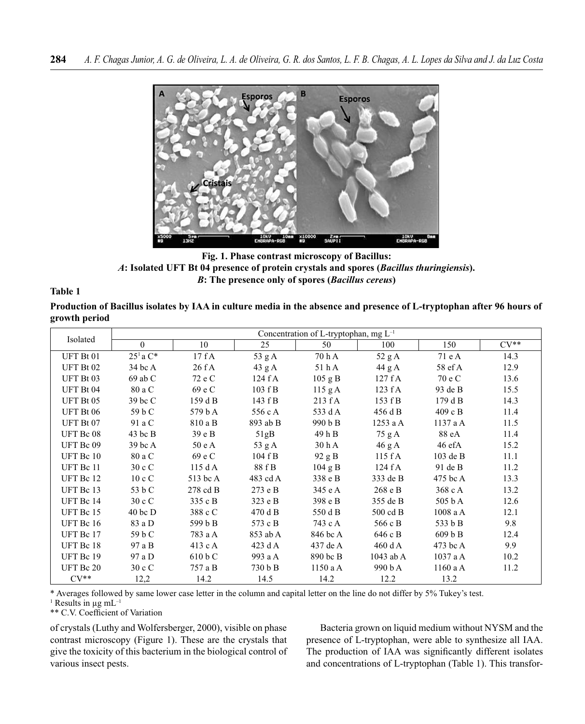

Fig. 1. Phase contrast microscopy of Bacillus: A: Isolated UFT Bt 04 presence of protein crystals and spores (Bacillus thuringiensis). **B:** The presence only of spores (Bacillus cereus)

## **Table 1**

Production of Bacillus isolates by IAA in culture media in the absence and presence of L-tryptophan after 96 hours of growth period

| Isolated  | Concentration of L-tryptophan, mg $L^{-1}$ |             |          |                   |                  |            |        |
|-----------|--------------------------------------------|-------------|----------|-------------------|------------------|------------|--------|
|           | $\theta$                                   | 10          | 25       | 50                | 100              | 150        | $CV**$ |
| UFT Bt 01 | $25^{\rm 1}$ a C*                          | 17fA        | 53 g A   | 70 h A            | 52 gA            | 71 e A     | 14.3   |
| UFT Bt 02 | 34 bc A                                    | 26 f A      | 43 gA    | 51 h A            | 44 g A           | 58 ef A    | 12.9   |
| UFT Bt 03 | $69$ ab C                                  | 72 e C      | 124 fA   | $105 \text{ g B}$ | 127fA            | 70 e C     | 13.6   |
| UFT Bt 04 | 80 a C                                     | 69 e C      | 103 fB   | 115 gA            | 123 fA           | 93 de B    | 15.5   |
| UFT Bt 05 | $39$ bc C                                  | 159 d B     | 143 $fB$ | 213 fA            | 153 f B          | 179 d B    | 14.3   |
| UFT Bt 06 | 59 b C                                     | 579 b A     | 556 c A  | 533 d A           | 456 d B          | 409cB      | 11.4   |
| UFT Bt 07 | 91 a C                                     | 810 a B     | 893 ab B | 990 b B           | 1253 a A         | 1137 a A   | 11.5   |
| UFT Bc 08 | $43$ bc B                                  | 39 e B      | 51gB     | 49 h B            | 75 g A           | 88 eA      | 11.4   |
| UFT Bc 09 | $39$ bc A                                  | 50 e A      | 53 g A   | 30 h A            | $46 \text{ g A}$ | 46 efA     | 15.2   |
| UFT Bc 10 | 80 a C                                     | 69 e C      | 104 f B  | 92 g B            | 115fA            | 103 de B   | 11.1   |
| UFT Bc 11 | 30 c C                                     | 115dA       | 88 f B   | $104 \text{ g B}$ | 124 fA           | $91$ de B  | 11.2   |
| UFT Bc 12 | $10 \text{ c C}$                           | 513 bc A    | 483 cd A | 338 e B           | 333 de B         | 475 bc A   | 13.3   |
| UFT Bc 13 | 53 b C                                     | 278 cd B    | 273 e B  | 345 e A           | 268 e B          | 368 c A    | 13.2   |
| UFT Bc 14 | 30 c C                                     | 335 c B     | 323 e B  | 398 e B           | 355 de B         | 505 b A    | 12.6   |
| UFT Bc 15 | $40$ bc $D$                                | 388 c C     | 470 d B  | 550 d B           | 500 cd B         | 1008 a A   | 12.1   |
| UFT Bc 16 | 83 a D                                     | 599 b B     | 573 c B  | 743 c A           | 566 c B          | 533 b B    | 9.8    |
| UFT Bc 17 | 59 b C                                     | 783 a A     | 853 ab A | 846 bc A          | 646 c B          | 609 b B    | 12.4   |
| UFT Bc 18 | 97 a B                                     | 413 c A     | 423 d A  | 437 de A          | 460 d A          | 473 bc A   | 9.9    |
| UFT Bc 19 | 97 a D                                     | 610 b C     | 993 a A  | 890 bc B          | 1043 ab A        | 1037 a A   | 10.2   |
| UFT Bc 20 | 30 c C                                     | $757\ a\ B$ | 730 b B  | $1150$ a A        | 990 b A          | $1160$ a A | 11.2   |
| $CV**$    | 12,2                                       | 14.2        | 14.5     | 14.2              | 12.2             | 13.2       |        |

\* Averages followed by same lower case letter in the column and capital letter on the line do not differ by 5% Tukey's test.

<sup>1</sup> Results in  $\mu$ g mL<sup>-1</sup>

\*\* C.V. Coefficient of Variation

of crystals (Luthy and Wolfersberger, 2000), visible on phase contrast microscopy (Figure 1). These are the crystals that give the toxicity of this bacterium in the biological control of various insect pests.

Bacteria grown on liquid medium without NYSM and the presence of L-tryptophan, were able to synthesize all IAA. The production of IAA was significantly different isolates and concentrations of L-tryptophan (Table 1). This transfor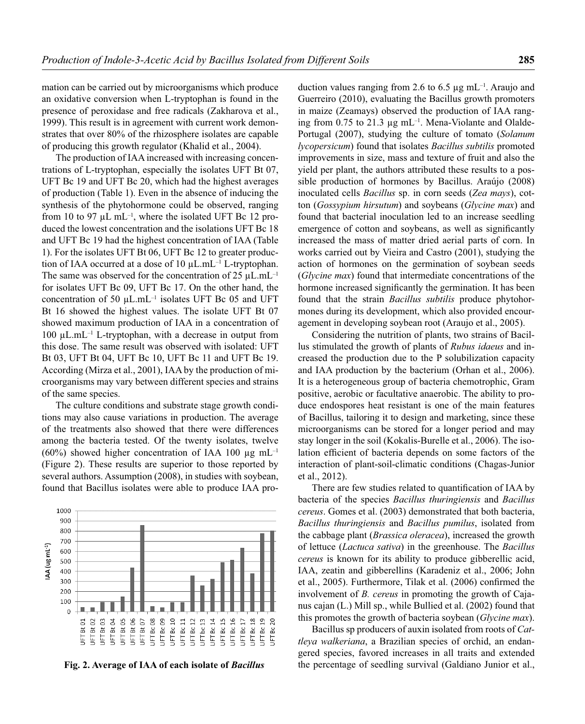mation can be carried out by microorganisms which produce an oxidative conversion when L-tryptophan is found in the presence of peroxidase and free radicals (Zakharova et al., 1999). This result is in agreement with current work demonstrates that over 80% of the rhizosphere isolates are capable of producing this growth regulator (Khalid et al., 2004).

The production of IAA increased with increasing concentrations of L-tryptophan, especially the isolates UFT Bt 07, UFT Bc 19 and UFT Bc 20, which had the highest averages of production (Table 1). Even in the absence of inducing the synthesis of the phytohormone could be observed, ranging from 10 to 97  $\mu$ L mL<sup>-1</sup>, where the isolated UFT Bc 12 produced the lowest concentration and the isolations UFT Bc 18 and UFT Bc 19 had the highest concentration of IAA (Table 1). For the isolates UFT Bt 06, UFT Bc 12 to greater production of IAA occurred at a dose of  $10 \mu L.mL^{-1}$  L-tryptophan. The same was observed for the concentration of 25  $\mu$ L.mL<sup>-1</sup> for isolates UFT Bc 09, UFT Bc 17. On the other hand, the concentration of 50  $\mu$ L.mL<sup>-1</sup> isolates UFT Bc 05 and UFT Bt 16 showed the highest values. The isolate UFT Bt 07 showed maximum production of IAA in a concentration of  $100 \mu L.mL^{-1}$  L-tryptophan, with a decrease in output from this dose. The same result was observed with isolated: UFT Bt 03, UFT Bt 04, UFT Bc 10, UFT Bc 11 and UFT Bc 19. According (Mirza et al., 2001), IAA by the production of microorganisms may vary between different species and strains of the same species.

The culture conditions and substrate stage growth conditions may also cause variations in production. The average of the treatments also showed that there were differences among the bacteria tested. Of the twenty isolates, twelve (60%) showed higher concentration of IAA 100 μg mL<sup>-1</sup> (Figure 2). These results are superior to those reported by several authors. Assumption (2008), in studies with soybean, found that Bacillus isolates were able to produce IAA pro-



duction values ranging from 2.6 to 6.5  $\mu$ g mL<sup>-1</sup>. Araujo and Guerreiro (2010), evaluating the Bacillus growth promoters in maize (Zeamays) observed the production of IAA ranging from 0.75 to 21.3  $\mu$ g mL<sup>-1</sup>. Mena-Violante and Olalde-Portugal (2007), studying the culture of tomato (*Solanum lycopersicum*) found that isolates *Bacillus subtilis* promoted improvements in size, mass and texture of fruit and also the yield per plant, the authors attributed these results to a possible production of hormones by Bacillus. Araújo (2008) inoculated cells *Bacillus* sp. in corn seeds (*Zea mays*), cotton (*Gossypium hirsutum*) and soybeans (*Glycine max*) and found that bacterial inoculation led to an increase seedling emergence of cotton and soybeans, as well as significantly increased the mass of matter dried aerial parts of corn. In works carried out by Vieira and Castro (2001), studying the action of hormones on the germination of soybean seeds (*Glycine max*) found that intermediate concentrations of the hormone increased significantly the germination. It has been found that the strain *Bacillus subtilis* produce phytohormones during its development, which also provided encouragement in developing soybean root (Araujo et al., 2005).

Considering the nutrition of plants, two strains of Bacillus stimulated the growth of plants of *Rubus idaeus* and increased the production due to the P solubilization capacity and IAA production by the bacterium (Orhan et al., 2006). It is a heterogeneous group of bacteria chemotrophic, Gram positive, aerobic or facultative anaerobic. The ability to produce endospores heat resistant is one of the main features of Bacillus, tailoring it to design and marketing, since these microorganisms can be stored for a longer period and may stay longer in the soil (Kokalis-Burelle et al., 2006). The isolation efficient of bacteria depends on some factors of the interaction of plant-soil-climatic conditions (Chagas-Junior et al., 2012).

There are few studies related to quantification of IAA by bacteria of the species *Bacillus thuringiensis* and *Bacillus cereus*. Gomes et al. (2003) demonstrated that both bacteria, *Bacillus thuringiensis* and *Bacillus pumilus*, isolated from the cabbage plant (*Brassica oleracea*), increased the growth of lettuce (*Lactuca sativa*) in the greenhouse. The *Bacillus cereus* is known for its ability to produce gibberellic acid, IAA, zeatin and gibberellins (Karadeniz et al., 2006; John et al., 2005). Furthermore, Tilak et al. (2006) confirmed the involvement of *B. cereus* in promoting the growth of Cajanus cajan (L.) Mill sp., while Bullied et al. (2002) found that this promotes the growth of bacteria soybean (*Glycine max*).

Bacillus sp producers of auxin isolated from roots of *Cattleya walkeriana*, a Brazilian species of orchid, an endangered species, favored increases in all traits and extended **Fig. 2. Average of IAA of each isolate of** *Bacillus* the percentage of seedling survival (Galdiano Junior et al.,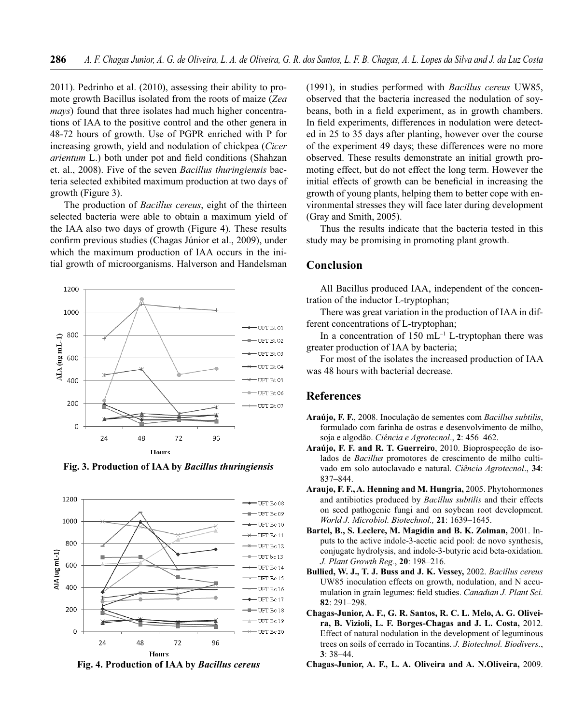2011). Pedrinho et al. (2010), assessing their ability to promote growth Bacillus isolated from the roots of maize (*Zea mays*) found that three isolates had much higher concentrations of IAA to the positive control and the other genera in 48-72 hours of growth. Use of PGPR enriched with P for increasing growth, yield and nodulation of chickpea (*Cicer arientum* L.) both under pot and field conditions (Shahzan et. al., 2008). Five of the seven *Bacillus thuringiensis* bacteria selected exhibited maximum production at two days of growth (Figure 3).

The production of *Bacillus cereus*, eight of the thirteen selected bacteria were able to obtain a maximum yield of the IAA also two days of growth (Figure 4). These results confirm previous studies (Chagas Júnior et al., 2009), under which the maximum production of IAA occurs in the initial growth of microorganisms. Halverson and Handelsman



**Fig. 3. Production of IAA by** *Bacillus thuringiensis*



**Fig. 4. Production of IAA by** *Bacillus cereus*

(1991), in studies performed with *Bacillus cereus* UW85, observed that the bacteria increased the nodulation of soybeans, both in a field experiment, as in growth chambers. In field experiments, differences in nodulation were detected in 25 to 35 days after planting, however over the course of the experiment 49 days; these differences were no more observed. These results demonstrate an initial growth promoting effect, but do not effect the long term. However the initial effects of growth can be beneficial in increasing the growth of young plants, helping them to better cope with environmental stresses they will face later during development (Gray and Smith, 2005).

Thus the results indicate that the bacteria tested in this study may be promising in promoting plant growth.

### **Conclusion**

All Bacillus produced IAA, independent of the concentration of the inductor L-tryptophan;

There was great variation in the production of IAA in different concentrations of L-tryptophan;

In a concentration of  $150 \text{ mL}^{-1}$  L-tryptophan there was greater production of IAA by bacteria;

For most of the isolates the increased production of IAA was 48 hours with bacterial decrease.

# **References**

- **Araújo, F. F.**, 2008. Inoculação de sementes com *Bacillus subtilis*, formulado com farinha de ostras e desenvolvimento de milho, soja e algodão. *Ciência e Agrotecnol*., **2**: 456–462.
- **Araújo, F. F. and R. T. Guerreiro**, 2010. Bioprospecção de isolados de *Bacillus* promotores de crescimento de milho cultivado em solo autoclavado e natural. *Ciência Agrotecnol*., **34**: 837–844.
- **Araujo, F. F., A. Henning and M. Hungria,** 2005. Phytohormones and antibiotics produced by *Bacillus subtilis* and their effects on seed pathogenic fungi and on soybean root development. *World J. Microbiol. Biotechnol.,* **21**: 1639–1645.
- **Bartel, B., S. Leclere, M. Magidin and B. K. Zolman,** 2001. Inputs to the active indole-3-acetic acid pool: de novo synthesis, conjugate hydrolysis, and indole-3-butyric acid beta-oxidation. *J. Plant Growth Reg.*, **20**: 198–216.
- **Bullied, W. J., T. J. Buss and J. K. Vessey,** 2002. *Bacillus cereus*  UW85 inoculation effects on growth, nodulation, and N accumulation in grain legumes: field studies. *Canadian J. Plant Sci*. **82**: 291–298.
- **Chagas-Junior, A. F., G. R. Santos, R. C. L. Melo, A. G. Oliveira, B. Vizioli, L. F. Borges-Chagas and J. L. Costa,** 2012. Effect of natural nodulation in the development of leguminous trees on soils of cerrado in Tocantins. *J. Biotechnol. Biodivers.*, **3**: 38–44.
- **Chagas-Junior, A. F., L. A. Oliveira and A. N.Oliveira,** 2009.